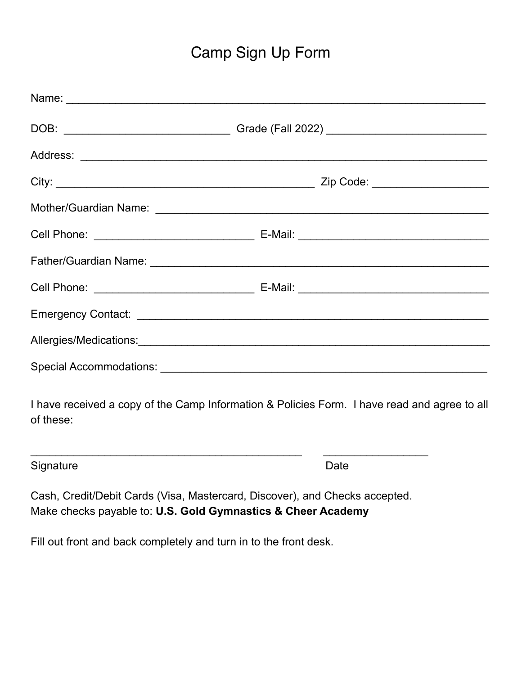## Camp Sign Up Form

| DOB: ___________________________________Grade (Fall 2022) ______________________            |  |  |  |
|---------------------------------------------------------------------------------------------|--|--|--|
|                                                                                             |  |  |  |
|                                                                                             |  |  |  |
|                                                                                             |  |  |  |
|                                                                                             |  |  |  |
|                                                                                             |  |  |  |
|                                                                                             |  |  |  |
|                                                                                             |  |  |  |
|                                                                                             |  |  |  |
|                                                                                             |  |  |  |
| I have received a copy of the Camp Information & Policies Form I have read and agree to all |  |  |  |

eceived a copy of the Camp Information & Policies Form. I have read and agree to all of these:

Signature Date **Date** 

Cash, Credit/Debit Cards (Visa, Mastercard, Discover), and Checks accepted. Make checks payable to: **U.S. Gold Gymnastics & Cheer Academy**

 $\frac{1}{2}$  ,  $\frac{1}{2}$  ,  $\frac{1}{2}$  ,  $\frac{1}{2}$  ,  $\frac{1}{2}$  ,  $\frac{1}{2}$  ,  $\frac{1}{2}$  ,  $\frac{1}{2}$  ,  $\frac{1}{2}$  ,  $\frac{1}{2}$  ,  $\frac{1}{2}$  ,  $\frac{1}{2}$  ,  $\frac{1}{2}$  ,  $\frac{1}{2}$  ,  $\frac{1}{2}$  ,  $\frac{1}{2}$  ,  $\frac{1}{2}$  ,  $\frac{1}{2}$  ,  $\frac{1$ 

Fill out front and back completely and turn in to the front desk.